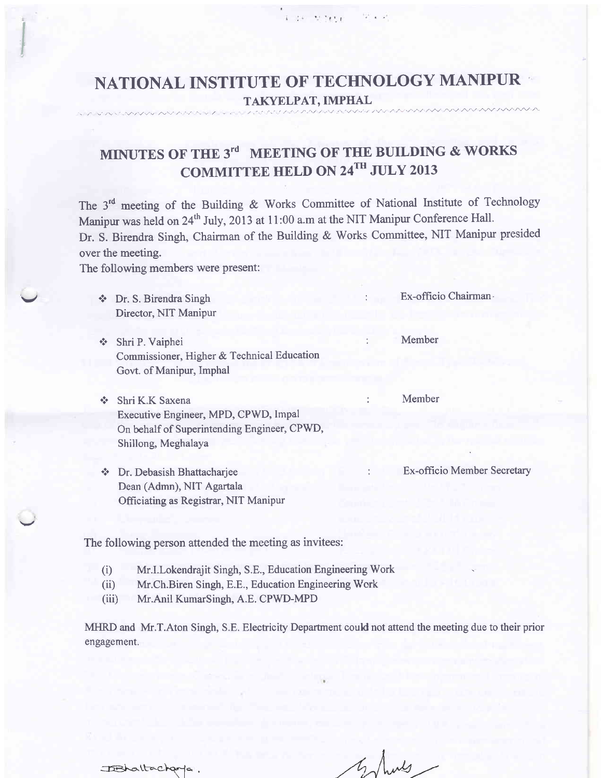# NATIONAL INSTITUTE OF TECHNOLOGY MANIPUR TAKYELPAT, IMPHAL

 $4 - 24 = 36.585.8$   $\pm 12.46.4$ 

# MINUTES OF THE  $3^{rd}$  MEETING OF THE BUILDING & WORKS COMMITTEE HELD ON 24TH JULY 2013

The 3<sup>rd</sup> meeting of the Building & Works Committee of National Institute of Technology Manipur was held on 24<sup>th</sup> July, 2013 at 11:00 a.m at the NIT Manipur Conference Hall. Dr. S. Birendra Singh, Chairman of the Building & Works Committee, NIT Manipur presided over the meeting.

The following members were present:

- \* Dr. S. Birendra Singh Sunghest St. Ex-officio Chairman-Director, NIT Manipur
- \* Shri P. Vaiphei : Member Commissioner, Higher & Technical Education Govt. of Manipur, Imphal
- \* Shri K.K Saxena : Member Executive Engineer, MPD, CPWD, Impal On behalf of Superintending Engineer, CPWD, Shillong, Meghalaya
- \* Dr. Debasish Bhattacharjee : Ex-officio Member Secretary Dean (Admn), NIT Agartala Officiating as Registrar, NIT Manipur

The following person attended the meeting as invitees:

- (i) Mr.I.Lokendrajit Singh, S.E., Education Engineering Work
- (ii) Mr.Ch.Biren Singh, E.E., Education Engineering Work
- (iii) Mr.Anil KumarSingh, A.E. CPWD-MPD

MHRD and Mr.T.Aton Singh, S.E. Electricity Departrnent could not attend the meeting due to their prior engagement.

IBhaltacharpa.

I I ./ll' ./? 1,",/".9//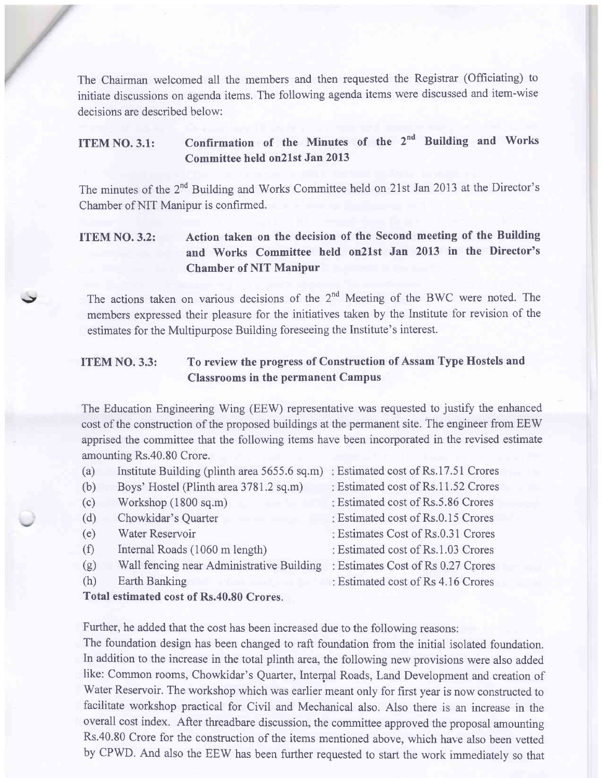The Chairman welcomed all the members and then requested the Registrar (Officiating) to initiate discussions on agenda items. The following agenda items were discussed and item-wise decisions are described below:

## ITEM NO. 3.1: Confirmation of the Minutes of the 2<sup>nd</sup> Building and Works Committee held on2lst Jan 2013

The minutes of the 2<sup>nd</sup> Building and Works Committee held on 21st Jan 2013 at the Director's Chamber of NIT Manipur is confirmed.

## ITEM NO.3.2: Action taken on the decision of the Second meeting of the Building and works committee held on2lst Jan 2013 in the Director's Chamber of NIT Manipur

The actions taken on various decisions of the  $2<sup>nd</sup>$  Meeting of the BWC were noted. The members expressed their pleasure for the initiatives taken by the Institute for revision of the estimates for the Multipurpose Building foreseeing the Institute's interest.

## ITEM NO. 3.3: To review the progress of Construction of Assam Type Hostels and Classrooms in the permanent Campus

The Education Engineering Wing (EEW) representative was requested to justify the enhanced cost of the construction of the proposed buildings at the permanent site. The engineer from EEW apprised the committee that the following items have been incorporated in the revised estimate amounting Rs.40.80 Crore.

| (a) | Institute Building (plinth area 5655.6 sq.m) | : Estimated cost of Rs.17.51 Crores |
|-----|----------------------------------------------|-------------------------------------|
| (b) | Boys' Hostel (Plinth area 3781.2 sq.m)       | : Estimated cost of Rs.11.52 Crores |
| (c) | Workshop (1800 sq.m)                         | : Estimated cost of Rs.5.86 Crores  |
| (d) | Chowkidar's Quarter                          | : Estimated cost of Rs.0.15 Crores  |
| (e) | Water Reservoir                              | : Estimates Cost of Rs.0.31 Crores  |
| (f) | Internal Roads (1060 m length)               | : Estimated cost of Rs.1.03 Crores  |
| (g) | Wall fencing near Administrative Building    | : Estimates Cost of Rs 0.27 Crores  |
| (h) | Earth Banking                                | : Estimated cost of Rs 4.16 Crores  |
|     |                                              |                                     |

#### Total estimated cost of Rs.40.80 Crores.

g

Further, he added that the cost has been increased due to the following reasons:

The foundation design has been changed to raft foundation from the initial isolated foundation. In addition to the increase in the total plinth area, the following new provisions were also added like: Common rooms, Chowkidar's Quarter, Internal Roads, Land Development and creation of Water Reservoir. The workshop which was earlier meant only for first year is now constructed to facilitate workshop practical for Civil and Mechanical also. Also there is an increase in the overall cost index. After threadbare discussion, the committee approved the proposal amounting Rs.40.80 Crore for the construction of the items mentioned above, which have also been vetted by CPWD. And also the EEW has been further requested to start the work immediately so that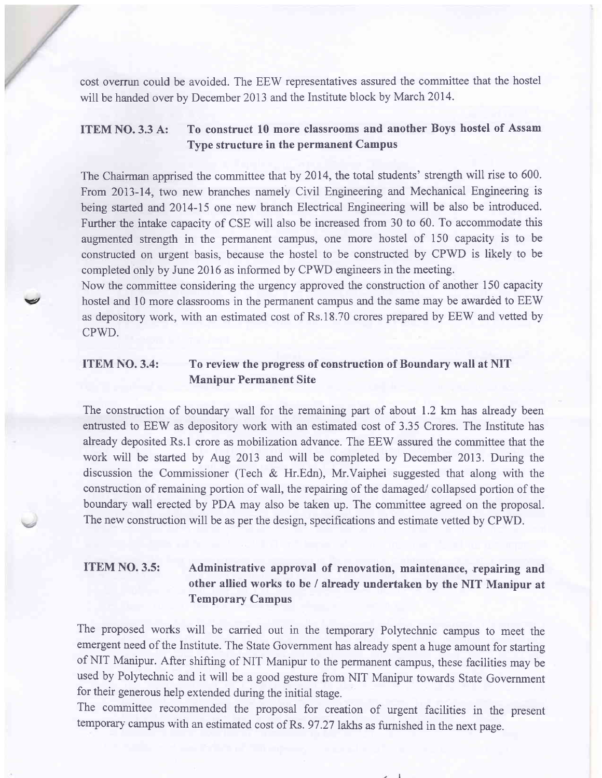cost overrun could be avoided. The EEW representatives assured the commiffee that the hostel will be harded over by December 2013 and the Institute block by March 2014.

## ITEM NO.3.3 A: To construct 10 more classrooms and another Boys hostel of Assam Type structure in the permanent Campus

The Chairman apprised the committee that by 2014, the total students' strength will rise to 600. From 2013-14, two new branches namely Civil Engineering and Mechanical Engineering is being started and 2014-15 one new branch Electrical Engineering will be also be introduced. Further the intake capacity of CSE will also be increased from 30 to 60. To accommodate this augmented strength in the permanent campus, one more hostel of 150 capacity is to be constructed on tugent basis, because the hostel to be constructed by CPWD is likely to be completed only by June 2016 as informed by CPWD engineers in the meeting.

Now the committee considering the urgency approved the construction of another 150 capacity hostel and 10 more classrooms in the permanent campus and the same may be awarded to EEW as depository work, with an estimated cost of Rs.18.?0 crores prepared by EEW and vetted by CPWD.

### TTEM NO. 3.4: To review the progress of construction of Boundary wall at NIT Manipur Permanent Site

v

The construction of boundary wall for the remaining part of about 1.2 km has already been entrusted to EEW as depository work with an estimated cost of 3.35 Crores. The Institute has already deposited Rs.l crore as mobilization advance. The EEW assured the committee that the work will be started by Aug 2013 and will be completed by December 2013. During the discussion the Commissioner (Tech & Hr.Edn), Mr.Vaiphei suggested that along with the construction of remaining portion of wall, the repairing of the damaged/ collapsed portion of the boundary wall erected by PDA may also be taken up. The committee agreed on the proposal. The new construction will be as per the design, specifications and estimate vetted by CPWD.

## ITEM NO. 3.5: Administrative approval of renovation, maintenance, repairing and other allied works to be / already undertaken by the NIT Manipur at Temporary Campus

The proposed works will be carried out in the temporary Polytechnic campus to meet the emergent need of the Institute. The State Government has already spent a huge amount for starting of NIT Manipur. After shifting of NIT Manipur to the permanent campus, these facilities may be used by Polyechnic and it will be a good gesture from NIT Manipur towards State Government for their generous help extended during the initial stage.

The committee recommended the proposal for creation of urgent facilities in the present temporary campus with an estimated cost of Rs. 97.27 lakhs as furnished in the next page.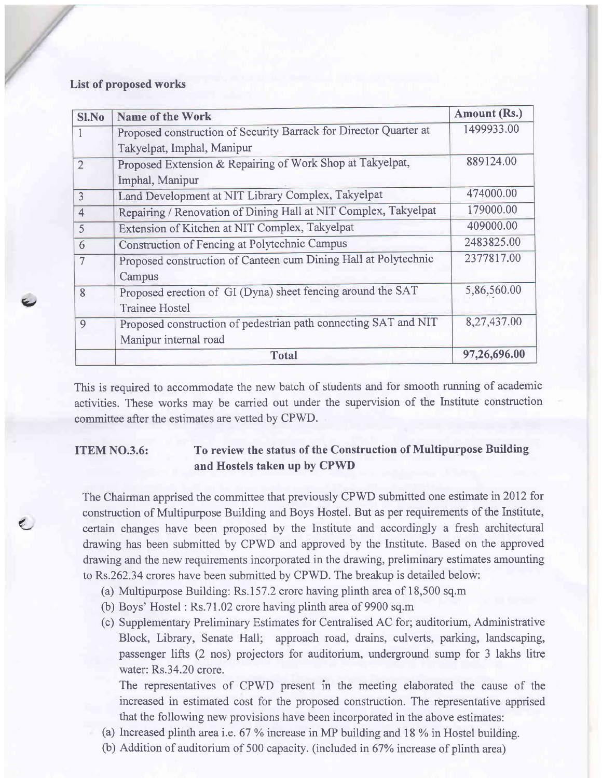#### List of proposed works

 $\epsilon$ 

/

| <b>Sl.No</b>   | Name of the Work                                                  | <b>Amount (Rs.)</b> |
|----------------|-------------------------------------------------------------------|---------------------|
| 1              | Proposed construction of Security Barrack for Director Quarter at | 1499933.00          |
|                | Takyelpat, Imphal, Manipur                                        |                     |
| $\overline{2}$ | Proposed Extension & Repairing of Work Shop at Takyelpat,         | 889124.00           |
|                | Imphal, Manipur                                                   |                     |
| 3              | Land Development at NIT Library Complex, Takyelpat                | 474000.00           |
| $\overline{4}$ | Repairing / Renovation of Dining Hall at NIT Complex, Takyelpat   | 179000.00           |
| 5              | Extension of Kitchen at NIT Complex, Takyelpat                    | 409000.00           |
| 6              | Construction of Fencing at Polytechnic Campus                     | 2483825.00          |
| $\overline{7}$ | Proposed construction of Canteen cum Dining Hall at Polytechnic   | 2377817.00          |
|                | Campus                                                            |                     |
| 8              | Proposed erection of GI (Dyna) sheet fencing around the SAT       | 5,86,560.00         |
|                | <b>Trainee Hostel</b>                                             |                     |
| 9              | Proposed construction of pedestrian path connecting SAT and NIT   | 8,27,437.00         |
|                | Manipur internal road                                             |                     |
|                | <b>Total</b>                                                      | 97,26,696.00        |

This is required to accommodate the new batch of students and for smooth running of academic activities. These works may be carried out under the supervision of the Institute construction committee after the estimates are vetted by CPWD.

## ITEM NO.3.6: To review the status of the Construction of Multipurpose Building and Hostels taken up by CPWD

The Chairman apprised the committee that previously CPWD submitted one estimate in20I2 for construction of Multipurpose Building and Boys Hostel. But as per requirements of the Institute, certain changes have been proposed by the Institute and accordingly a fresh architectural drawing has been submitted by CPWD and approved by the Institute. Based on the approved drawing and the new requirements incorporated in the drawing, preliminary estimates amounting to Rs.262.34 crores have been submitted by CPWD. The breakup is detailed below:

- (a) Multipurpose Building: Rs.157.2 crore having plinth area of 18,500 sq.m
- (b) Boys' Hostel : Rs.71.02 crore having plinth area of 9900 sq.m
- (c) Supplementary Preliminary Estimates for Centralised AC for; auditorium, Administrative Block, Library, Senate Hall; approach road, drains, culverts, parking, landscaping, passenger lifts (2 nos) projectors for auditorium, underground sump for 3 lakhs litre water: Rs.34.20 crore.

The representatives of CPWD present in the meeting elaborated the cause of the increased in estimated cost for the proposed construction. The representative apprised that the following new provisions have been incorporated in the above estimates:

- (a) Increased plinth area i.e.  $67\%$  increase in MP building and 18 % in Hostel building.
- (b) Addition of auditorium of 500 capacity. (included in67Yo increase of plinth area)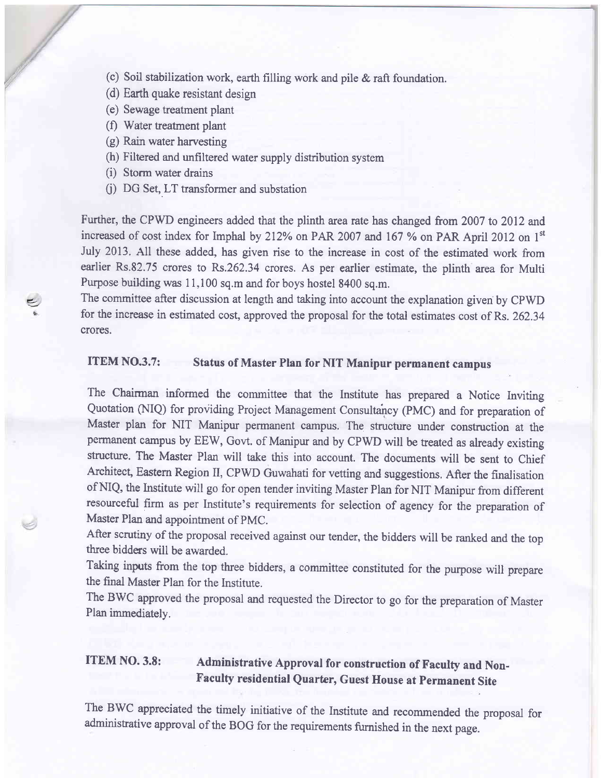- $\langle$ ) Soil stabilization work, earth filling work and pile & raft foundation.
- (d) Earth quake resistant design
- (e) Sewage treatment plant

,,/

- (f) Water treatment plant
- (g) Rain water harvesting
- (h) Filtered and unfiltered water supply distribution system
- (i) Storm water drains
- (j) DG Set, LT transformer and substation

Further, the CPWD engineers added that the plinth area rate has changed from 2007 to 2012 and increased of cost index for Imphal by 212% on PAR 2007 and 167 % on PAR April 2012 on  $1<sup>st</sup>$ July 2013. All these added, has given rise to the increase in cost of the estimated work from earlier Rs.82.75 crores to Rs.262.34 crores. As per earlier estimate, the plinth area for Multi Purpose building was 11,100 sq.m and for boys hostel 8400 sq.m.

The committee after discussion at length and taking into account the explanation given by CPWD for the increase in estimated cost, approved the proposal for the total estimates cost of Rs. 262.34 crores.

### ITEM NO.3.7: Status of Master Plan for NIT Manipur permanent campus

The Chairman informed the committee that the Institute has prepared a Notice lnviting Quotation (NIQ) for providing Project Management Consultancy (PMC) and for preparation of Master plan for NIT Manipur permanent campus. The structure under construction at the permanent campus by EEW, Govt. of Manipur and by CPWD will be treated as already existing structure. The Master Plan will take this into account. The documents will be sent to Chief Architect, Eastern Region II, CPWD Guwahati for vetting and suggestions, After the finalisation of NIQ, the Institute will go for open tender inviting Master Plan for NIT Manipur from different resourceful firm as per Institute's requirements for selection of agency for the preparation of Master Plan and appointment of PMC.

After scrutiny of the proposal received against our tender, the bidders will be ranked and the top three bidders will be awarded.

Taking inputs from the top three bidders, a committee constituted for the purpose will prepare the final Master Plan for the Institute.

The BWC approved the proposal and requested the Director to go for the preparation of Master Plan immediatelv.

## ITEM NO. 3.8: Administrative Approval for construction of Faculty and Non-Faculty residential Quarter, Guest House at Permanent Site

The BWC appreciated the timely initiative of the Institute and recommended the proposal for administative approval of the BOG for the requirements furnished in the next page.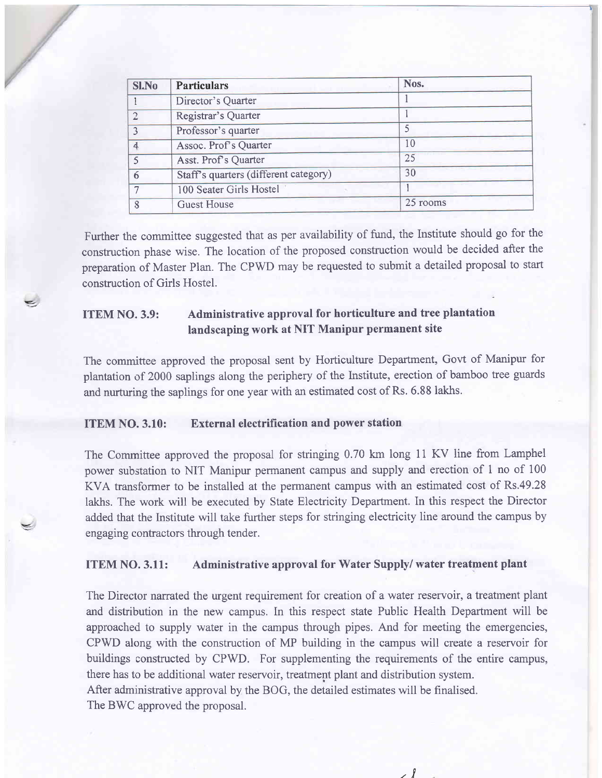| Sl.No        | <b>Particulars</b>                    | Nos.     |  |
|--------------|---------------------------------------|----------|--|
|              | Director's Quarter                    |          |  |
| $\mathbf{2}$ | Registrar's Quarter                   |          |  |
| ٦            | Professor's quarter                   |          |  |
|              | Assoc. Prof's Quarter                 | 10       |  |
|              | Asst. Prof's Quarter                  | 25       |  |
| 6            | Staff's quarters (different category) | 30       |  |
|              | 100 Seater Girls Hostel               |          |  |
| 8            | Guest House                           | 25 rooms |  |

Further the committee suggested that as per availability of fund, the Institute should go for the construction phase wise. The location of the proposed construction would be decided after the preparation of Master Plan. The CPWD may be requested to submit a detailed proposal to start construction of Girls Hostel.

## ITEM NO. 3.9: Administrative approval for horticulture and tree plantation landscaping work at NIT Manipur permanent site

The committee approved the proposal sent by Horticulture Department, Govt of Manipur for plantation of 2000 saplings along the periphery of the Institute, erection of bamboo tree guards and nurturing the saplings for one year with an estimated cost of Rs. 6.88 lakhs.

#### ITEM NO. 3.10: External electrification and power station

z

The Committee approved the proposal for stringing 0.70 km long 11 KV line from Lamphel power substation to NIT Manipur pennanent campus and supply and erection of 1 no of <sup>100</sup> KVA transformer to be installed at the permanent campus with an estimated cost of Rs.49.28 lakhs. The work will be executed by State Electricity Department. In this respect the Director added that the Institute will take further steps for stringing electricity line around the campus by engaging contractors through tender.

#### ITEM NO. 3.11: Administrative approval for Water Supply/ water treatment plant

The Director narrated the urgent requirement for creation of a water reservoir, a treatment plant and distribution in the new campus. In this respect state Public Health Department will be approached to supply water in the campus through pipes. And for meeting the emergencies, CPWD along with the construction of MP building in the campus will create a reservoir for buildings constructed by CPWD. For supplementing the requirements of the entire campus, there has to be additional water reservoir, treatment plant and distribution system. After administrative approval by the BOG, the detailed estimates will be finalised. The BWC approved the proposal.

rl